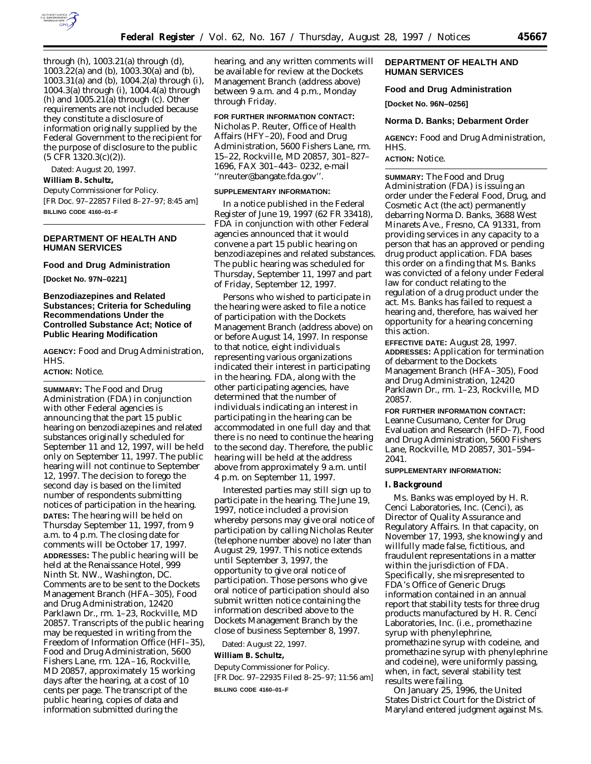

through (h), 1003.21(a) through (d), 1003.22(a) and (b), 1003.30(a) and (b), 1003.31(a) and (b), 1004.2(a) through (i), 1004.3(a) through (i), 1004.4(a) through (h) and 1005.21(a) through (c). Other requirements are not included because they constitute a disclosure of information originally supplied by the Federal Government to the recipient for the purpose of disclosure to the public (5 CFR 1320.3(c)(2)).

Dated: August 20, 1997.

#### **William B. Schultz,**

*Deputy Commissioner for Policy.* [FR Doc. 97–22857 Filed 8–27–97; 8:45 am] **BILLING CODE 4160–01–F**

## **DEPARTMENT OF HEALTH AND HUMAN SERVICES**

#### **Food and Drug Administration**

**[Docket No. 97N–0221]**

## **Benzodiazepines and Related Substances; Criteria for Scheduling Recommendations Under the Controlled Substance Act; Notice of Public Hearing Modification**

**AGENCY:** Food and Drug Administration, HHS.

## **ACTION:** Notice.

**SUMMARY:** The Food and Drug Administration (FDA) in conjunction with other Federal agencies is announcing that the part 15 public hearing on benzodiazepines and related substances originally scheduled for September 11 and 12, 1997, will be held only on September 11, 1997. The public hearing will not continue to September 12, 1997. The decision to forego the second day is based on the limited number of respondents submitting notices of participation in the hearing. **DATES:** The hearing will be held on Thursday September 11, 1997, from 9 a.m. to 4 p.m. The closing date for comments will be October 17, 1997. **ADDRESSES:** The public hearing will be held at the Renaissance Hotel, 999 Ninth St. NW., Washington, DC. Comments are to be sent to the Dockets Management Branch (HFA–305), Food and Drug Administration, 12420 Parklawn Dr., rm. 1–23, Rockville, MD 20857. Transcripts of the public hearing may be requested in writing from the Freedom of Information Office (HFI–35), Food and Drug Administration, 5600 Fishers Lane, rm. 12A–16, Rockville, MD 20857, approximately 15 working days after the hearing, at a cost of 10 cents per page. The transcript of the public hearing, copies of data and information submitted during the

hearing, and any written comments will be available for review at the Dockets Management Branch (address above) between 9 a.m. and 4 p.m., Monday through Friday.

### **FOR FURTHER INFORMATION CONTACT:**

Nicholas P. Reuter, Office of Health Affairs (HFY–20), Food and Drug Administration, 5600 Fishers Lane, rm. 15–22, Rockville, MD 20857, 301–827– 1696, FAX 301–443– 0232, e-mail ''nreuter@bangate.fda.gov''.

#### **SUPPLEMENTARY INFORMATION:**

In a notice published in the Federal Register of June 19, 1997 (62 FR 33418), FDA in conjunction with other Federal agencies announced that it would convene a part 15 public hearing on benzodiazepines and related substances. The public hearing was scheduled for Thursday, September 11, 1997 and part of Friday, September 12, 1997.

Persons who wished to participate in the hearing were asked to file a notice of participation with the Dockets Management Branch (address above) on or before August 14, 1997. In response to that notice, eight individuals representing various organizations indicated their interest in participating in the hearing. FDA, along with the other participating agencies, have determined that the number of individuals indicating an interest in participating in the hearing can be accommodated in one full day and that there is no need to continue the hearing to the second day. Therefore, the public hearing will be held at the address above from approximately 9 a.m. until 4 p.m. on September 11, 1997.

Interested parties may still sign up to participate in the hearing. The June 19, 1997, notice included a provision whereby persons may give oral notice of participation by calling Nicholas Reuter (telephone number above) no later than August 29, 1997. This notice extends until September 3, 1997, the opportunity to give oral notice of participation. Those persons who give oral notice of participation should also submit written notice containing the information described above to the Dockets Management Branch by the close of business September 8, 1997.

Dated: August 22, 1997.

### **William B. Schultz,**

*Deputy Commissioner for Policy.* [FR Doc. 97–22935 Filed 8–25–97; 11:56 am] **BILLING CODE 4160–01–F**

### **DEPARTMENT OF HEALTH AND HUMAN SERVICES**

## **Food and Drug Administration**

**[Docket No. 96N–0256]**

#### **Norma D. Banks; Debarment Order**

**AGENCY:** Food and Drug Administration, HHS.

# **ACTION:** Notice.

**SUMMARY:** The Food and Drug Administration (FDA) is issuing an order under the Federal Food, Drug, and Cosmetic Act (the act) permanently debarring Norma D. Banks, 3688 West Minarets Ave., Fresno, CA 91331, from providing services in any capacity to a person that has an approved or pending drug product application. FDA bases this order on a finding that Ms. Banks was convicted of a felony under Federal law for conduct relating to the regulation of a drug product under the act. Ms. Banks has failed to request a hearing and, therefore, has waived her opportunity for a hearing concerning this action.

**EFFECTIVE DATE:** August 28, 1997. **ADDRESSES:** Application for termination of debarment to the Dockets Management Branch (HFA–305), Food and Drug Administration, 12420 Parklawn Dr., rm. 1–23, Rockville, MD 20857.

**FOR FURTHER INFORMATION CONTACT:** Leanne Cusumano, Center for Drug Evaluation and Research (HFD–7), Food and Drug Administration, 5600 Fishers Lane, Rockville, MD 20857, 301–594– 2041.

## **SUPPLEMENTARY INFORMATION:**

#### **I. Background**

Ms. Banks was employed by H. R. Cenci Laboratories, Inc. (Cenci), as Director of Quality Assurance and Regulatory Affairs. In that capacity, on November 17, 1993, she knowingly and willfully made false, fictitious, and fraudulent representations in a matter within the jurisdiction of FDA. Specifically, she misrepresented to FDA's Office of Generic Drugs information contained in an annual report that stability tests for three drug products manufactured by H. R. Cenci Laboratories, Inc. (i.e., promethazine syrup with phenylephrine, promethazine syrup with codeine, and promethazine syrup with phenylephrine and codeine), were uniformly passing, when, in fact, several stability test results were failing.

On January 25, 1996, the United States District Court for the District of Maryland entered judgment against Ms.